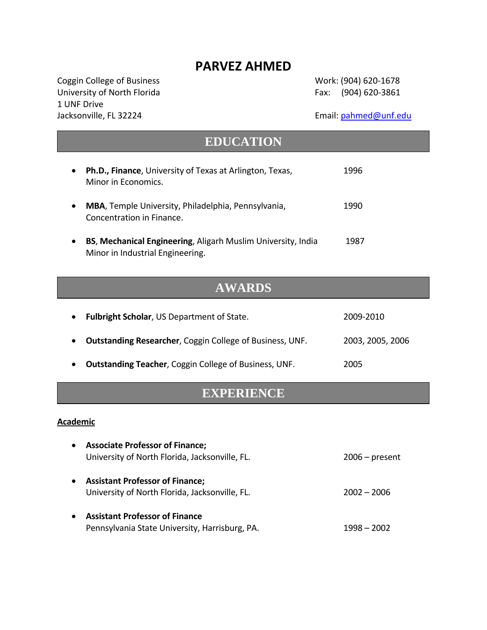# **PARVEZ AHMED**

Coggin College of Business Work: (904) 620‐1678 University of North Florida Fax: (904) 620-3861 1 UNF Drive Jacksonville, FL 32224 Email: [pahmed@unf.edu](mailto:pahmed@unf.edu)

| <b>EDUCATION</b>                                                                                 |           |  |  |
|--------------------------------------------------------------------------------------------------|-----------|--|--|
| <b>Ph.D., Finance, University of Texas at Arlington, Texas,</b><br>Minor in Economics.           | 1996      |  |  |
| MBA, Temple University, Philadelphia, Pennsylvania,<br>Concentration in Finance.                 | 1990      |  |  |
| BS, Mechanical Engineering, Aligarh Muslim University, India<br>Minor in Industrial Engineering. | 1987      |  |  |
| <b>AWARDS</b>                                                                                    |           |  |  |
| <b>Fulbright Scholar, US Department of State.</b>                                                | 2009-2010 |  |  |

• **Outstanding Teacher**, Coggin College of Business, UNF. 2005

# **EXPERIENCE**

• **Outstanding Researcher**, Coggin College of Business, UNF. 2003, 2005, 2006

## **Academic**

| <b>Associate Professor of Finance;</b><br>$\bullet$<br>University of North Florida, Jacksonville, FL. | $2006$ – present |
|-------------------------------------------------------------------------------------------------------|------------------|
| <b>Assistant Professor of Finance;</b><br>$\bullet$<br>University of North Florida, Jacksonville, FL. | $2002 - 2006$    |
| <b>Assistant Professor of Finance</b><br>$\bullet$<br>Pennsylvania State University, Harrisburg, PA.  | 1998 – 2002      |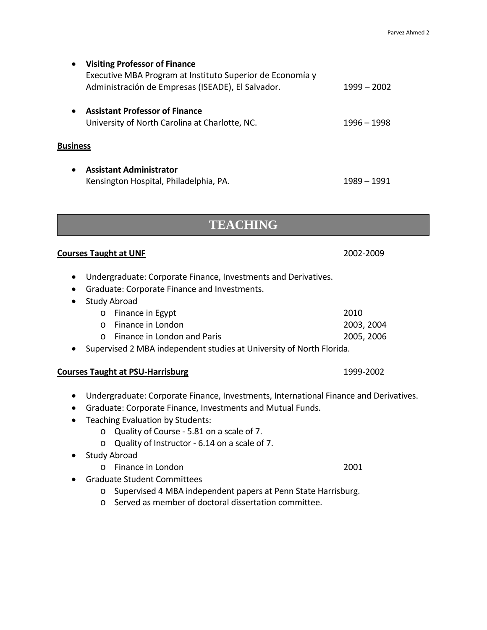| $\bullet$       | <b>Visiting Professor of Finance</b><br>Executive MBA Program at Instituto Superior de Economía y<br>Administración de Empresas (ISEADE), El Salvador. | $1999 - 2002$ |
|-----------------|--------------------------------------------------------------------------------------------------------------------------------------------------------|---------------|
| $\bullet$       | <b>Assistant Professor of Finance</b><br>University of North Carolina at Charlotte, NC.                                                                | 1996 – 1998   |
| <b>Business</b> |                                                                                                                                                        |               |
| $\bullet$       | <b>Assistant Administrator</b><br>Kensington Hospital, Philadelphia, PA.                                                                               | 1989 – 1991   |

# **TEACHING**

## **Courses Taught at UNF**  2002‐2009

- Undergraduate: Corporate Finance, Investments and Derivatives.
- Graduate: Corporate Finance and Investments.
- Study Abroad
	- o Finance in Egypt 2010 o Finance in London 2003, 2004 o Finance in London and Paris 2005, 2006
- Supervised 2 MBA independent studies at University of North Florida.

#### **Courses Taught at PSU‐Harrisburg** 1999‐2002

- Undergraduate: Corporate Finance, Investments, International Finance and Derivatives.
- Graduate: Corporate Finance, Investments and Mutual Funds.
- Teaching Evaluation by Students:
	- o Quality of Course ‐ 5.81 on a scale of 7.
	- o Quality of Instructor ‐ 6.14 on a scale of 7.
- Study Abroad
	- o Finance in London 2001
- Graduate Student Committees
	- o Supervised 4 MBA independent papers at Penn State Harrisburg.
	- o Served as member of doctoral dissertation committee.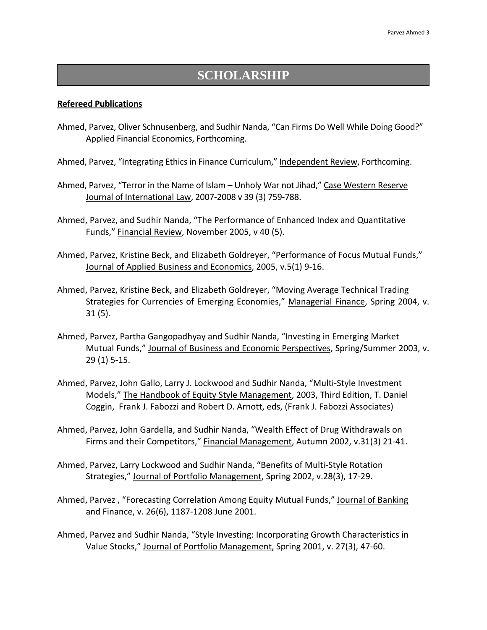# **SCHOLARSHIP**

#### **Refereed Publications**

- Ahmed, Parvez, Oliver Schnusenberg, and Sudhir Nanda, "Can Firms Do Well While Doing Good?" Applied Financial Economics, Forthcoming.
- Ahmed, Parvez, "Integrating Ethics in Finance Curriculum," Independent Review, Forthcoming.
- Ahmed, Parvez, "Terror in the Name of Islam Unholy War not Jihad," Case Western Reserve Journal of International Law, 2007‐2008 v 39 (3) 759‐788.
- Ahmed, Parvez, and Sudhir Nanda, "The Performance of Enhanced Index and Quantitative Funds," Financial Review, November 2005, v 40 (5).
- Ahmed, Parvez, Kristine Beck, and Elizabeth Goldreyer, "Performance of Focus Mutual Funds," Journal of Applied Business and Economics, 2005, v.5(1) 9‐16.
- Ahmed, Parvez, Kristine Beck, and Elizabeth Goldreyer, "Moving Average Technical Trading Strategies for Currencies of Emerging Economies," Managerial Finance, Spring 2004, v. 31 (5).
- Ahmed, Parvez, Partha Gangopadhyay and Sudhir Nanda, "Investing in Emerging Market Mutual Funds," Journal of Business and Economic Perspectives, Spring/Summer 2003, v. 29 (1) 5‐15.
- Ahmed, Parvez, John Gallo, Larry J. Lockwood and Sudhir Nanda, "Multi‐Style Investment Models," The Handbook of Equity Style Management, 2003, Third Edition, T. Daniel Coggin, Frank J. Fabozzi and Robert D. Arnott, eds, (Frank J. Fabozzi Associates)
- Ahmed, Parvez, John Gardella, and Sudhir Nanda, "Wealth Effect of Drug Withdrawals on Firms and their Competitors," Financial Management, Autumn 2002, v.31(3) 21-41.
- Ahmed, Parvez, Larry Lockwood and Sudhir Nanda, "Benefits of Multi‐Style Rotation Strategies," Journal of Portfolio Management, Spring 2002, v.28(3), 17-29.
- Ahmed, Parvez , "Forecasting Correlation Among Equity Mutual Funds," Journal of Banking and Finance, v. 26(6), 1187‐1208 June 2001.
- Ahmed, Parvez and Sudhir Nanda, "Style Investing: Incorporating Growth Characteristics in Value Stocks," Journal of Portfolio Management, Spring 2001, v. 27(3), 47‐60.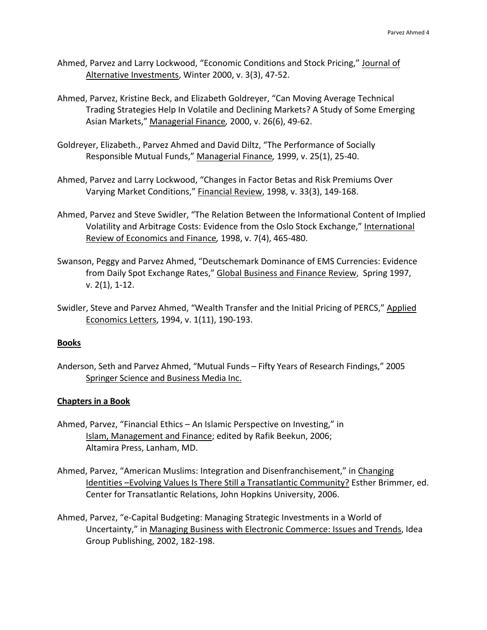- Ahmed, Parvez and Larry Lockwood, "Economic Conditions and Stock Pricing," Journal of Alternative Investments, Winter 2000, v. 3(3), 47‐52.
- Ahmed, Parvez, Kristine Beck, and Elizabeth Goldreyer, "Can Moving Average Technical Trading Strategies Help In Volatile and Declining Markets? A Study of Some Emerging Asian Markets," Managerial Finance*,* 2000, v. 26(6), 49‐62.
- Goldreyer, Elizabeth., Parvez Ahmed and David Diltz, "The Performance of Socially Responsible Mutual Funds," Managerial Finance*,* 1999, v. 25(1), 25‐40.
- Ahmed, Parvez and Larry Lockwood, "Changes in Factor Betas and Risk Premiums Over Varying Market Conditions," Financial Review, 1998, v. 33(3), 149‐168.
- Ahmed, Parvez and Steve Swidler, "The Relation Between the Informational Content of Implied Volatility and Arbitrage Costs: Evidence from the Oslo Stock Exchange," International Review of Economics and Finance*,* 1998, v. 7(4), 465‐480.
- Swanson, Peggy and Parvez Ahmed, "Deutschemark Dominance of EMS Currencies: Evidence from Daily Spot Exchange Rates," Global Business and Finance Review, Spring 1997, v. 2(1), 1‐12.
- Swidler, Steve and Parvez Ahmed, "Wealth Transfer and the Initial Pricing of PERCS," Applied Economics Letters, 1994, v. 1(11), 190‐193.

# **Books**

Anderson, Seth and Parvez Ahmed, "Mutual Funds – Fifty Years of Research Findings," 2005 Springer Science and Business Media Inc.

# **Chapters in a Book**

- Ahmed, Parvez, "Financial Ethics An Islamic Perspective on Investing," in Islam, Management and Finance; edited by Rafik Beekun, 2006; Altamira Press, Lanham, MD.
- Ahmed, Parvez, "American Muslims: Integration and Disenfranchisement," in Changing Identities –Evolving Values Is There Still a Transatlantic Community? Esther Brimmer, ed. Center for Transatlantic Relations, John Hopkins University, 2006.
- Ahmed, Parvez, "e‐Capital Budgeting: Managing Strategic Investments in a World of Uncertainty," in Managing Business with Electronic Commerce: Issues and Trends, Idea Group Publishing, 2002, 182‐198.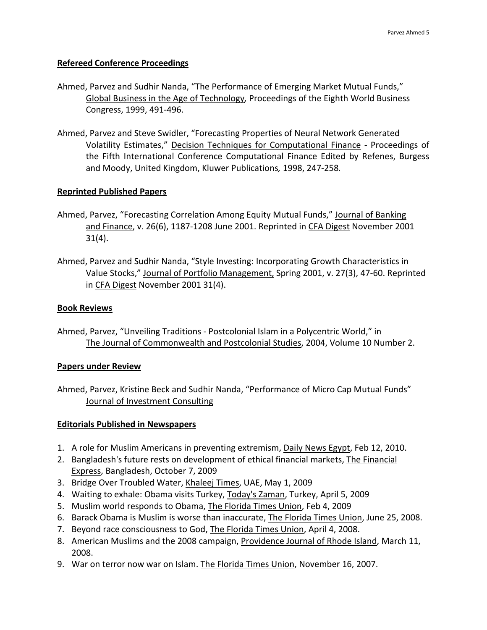#### **Refereed Conference Proceedings**

- Ahmed, Parvez and Sudhir Nanda, "The Performance of Emerging Market Mutual Funds," Global Business in the Age of Technology*,* Proceedings of the Eighth World Business Congress, 1999, 491‐496.
- Ahmed, Parvez and Steve Swidler, "Forecasting Properties of Neural Network Generated Volatility Estimates," Decision Techniques for Computational Finance ‐ Proceedings of the Fifth International Conference Computational Finance Edited by Refenes, Burgess and Moody, United Kingdom, Kluwer Publications*,* 1998, 247‐258*.*

#### **Reprinted Published Papers**

- Ahmed, Parvez, "Forecasting Correlation Among Equity Mutual Funds," Journal of Banking and Finance, v. 26(6), 1187-1208 June 2001. Reprinted in CFA Digest November 2001 31(4).
- Ahmed, Parvez and Sudhir Nanda, "Style Investing: Incorporating Growth Characteristics in Value Stocks," Journal of Portfolio Management, Spring 2001, v. 27(3), 47‐60. Reprinted in CFA Digest November 2001 31(4).

#### **Book Reviews**

Ahmed, Parvez, "Unveiling Traditions ‐ Postcolonial Islam in a Polycentric World," in The Journal of Commonwealth and Postcolonial Studies, 2004, Volume 10 Number 2.

#### **Papers under Review**

Ahmed, Parvez, Kristine Beck and Sudhir Nanda, "Performance of Micro Cap Mutual Funds" Journal of Investment Consulting

#### **Editorials Published in Newspapers**

- 1. A role for Muslim Americans in preventing extremism, Daily News Egypt, Feb 12, 2010.
- 2. Bangladesh's future rests on development of ethical financial markets, The Financial Express, Bangladesh, October 7, 2009
- 3. Bridge Over Troubled Water, Khaleej Times, UAE, May 1, 2009
- 4. Waiting to exhale: Obama visits Turkey, Today's Zaman, Turkey, April 5, 2009
- 5. Muslim world responds to Obama, The Florida Times Union, Feb 4, 2009
- 6. Barack Obama is Muslim is worse than inaccurate, The Florida Times Union, June 25, 2008.
- 7. Beyond race consciousness to God, The Florida Times Union, April 4, 2008.
- 8. American Muslims and the 2008 campaign, Providence Journal of Rhode Island, March 11, 2008.
- 9. War on terror now war on Islam. The Florida Times Union, November 16, 2007.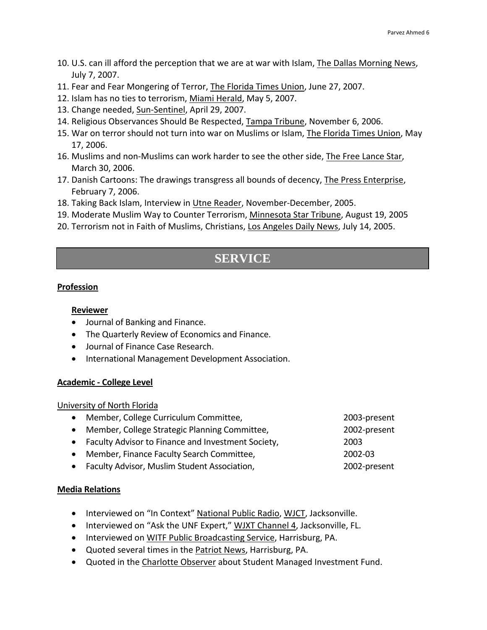- 10. U.S. can ill afford the perception that we are at war with Islam, The Dallas Morning News, July 7, 2007.
- 11. Fear and Fear Mongering of Terror, The Florida Times Union, June 27, 2007.
- 12. Islam has no ties to terrorism, Miami Herald, May 5, 2007.
- 13. Change needed, Sun‐Sentinel, April 29, 2007.
- 14. Religious Observances Should Be Respected, Tampa Tribune, November 6, 2006.
- 15. War on terror should not turn into war on Muslims or Islam, The Florida Times Union, May 17, 2006.
- 16. Muslims and non‐Muslims can work harder to see the other side, The Free Lance Star, March 30, 2006.
- 17. Danish Cartoons: The drawings transgress all bounds of decency, The Press Enterprise, February 7, 2006.
- 18. Taking Back Islam, Interview in Utne Reader, November‐December, 2005.
- 19. Moderate Muslim Way to Counter Terrorism, Minnesota Star Tribune, August 19, 2005
- 20. Terrorism not in Faith of Muslims, Christians, Los Angeles Daily News, July 14, 2005.

# **SERVICE**

## **Profession**

## **Reviewer**

- Journal of Banking and Finance.
- The Quarterly Review of Economics and Finance.
- Journal of Finance Case Research.
- International Management Development Association.

#### **Academic ‐ College Level**

#### University of North Florida

| • Member, College Curriculum Committee,              | 2003-present |
|------------------------------------------------------|--------------|
| • Member, College Strategic Planning Committee,      | 2002-present |
| • Faculty Advisor to Finance and Investment Society, | 2003         |
| • Member, Finance Faculty Search Committee,          | 2002-03      |
| • Faculty Advisor, Muslim Student Association,       | 2002-present |
|                                                      |              |

#### **Media Relations**

- Interviewed on "In Context" National Public Radio, WJCT, Jacksonville.
- Interviewed on "Ask the UNF Expert," WJXT Channel 4, Jacksonville, FL.
- Interviewed on WITF Public Broadcasting Service, Harrisburg, PA.
- Quoted several times in the Patriot News, Harrisburg, PA.
- Quoted in the Charlotte Observer about Student Managed Investment Fund.